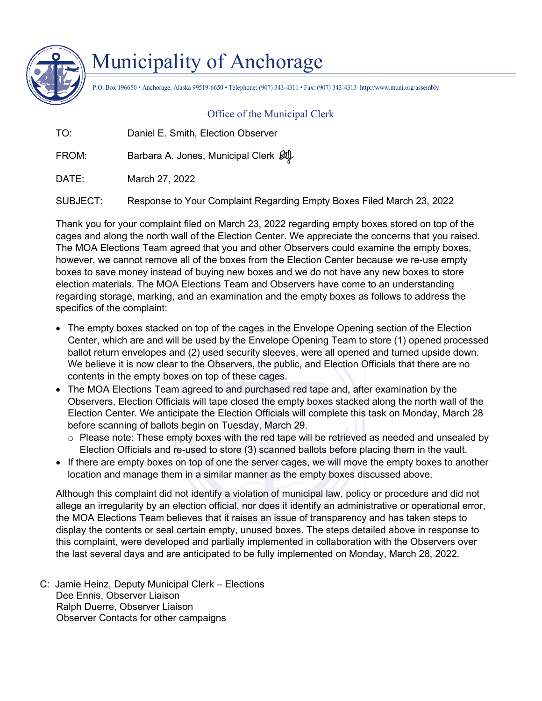

## Municipality of Anchorage

P.O. Box 196650 • Anchorage, Alaska 99519-6650 • Telephone: (907) 343-4311 • Fax: (907) 343-4313 http://www.muni.org/assembly

## Office of the Municipal Clerk

TO: Daniel E. Smith, Election Observer

FROM: Barbara A. Jones, Municipal Clerk  $\mathscr{A}$ 

DATE: March 27, 2022

SUBJECT: Response to Your Complaint Regarding Empty Boxes Filed March 23, 2022

Thank you for your complaint filed on March 23, 2022 regarding empty boxes stored on top of the cages and along the north wall of the Election Center. We appreciate the concerns that you raised. The MOA Elections Team agreed that you and other Observers could examine the empty boxes, however, we cannot remove all of the boxes from the Election Center because we re-use empty boxes to save money instead of buying new boxes and we do not have any new boxes to store election materials. The MOA Elections Team and Observers have come to an understanding regarding storage, marking, and an examination and the empty boxes as follows to address the specifics of the complaint:

- The empty boxes stacked on top of the cages in the Envelope Opening section of the Election Center, which are and will be used by the Envelope Opening Team to store (1) opened processed ballot return envelopes and (2) used security sleeves, were all opened and turned upside down. We believe it is now clear to the Observers, the public, and Election Officials that there are no contents in the empty boxes on top of these cages.
- The MOA Elections Team agreed to and purchased red tape and, after examination by the Observers, Election Officials will tape closed the empty boxes stacked along the north wall of the Election Center. We anticipate the Election Officials will complete this task on Monday, March 28 before scanning of ballots begin on Tuesday, March 29.
	- o Please note: These empty boxes with the red tape will be retrieved as needed and unsealed by Election Officials and re-used to store (3) scanned ballots before placing them in the vault.
- If there are empty boxes on top of one the server cages, we will move the empty boxes to another location and manage them in a similar manner as the empty boxes discussed above.

Although this complaint did not identify a violation of municipal law, policy or procedure and did not allege an irregularity by an election official, nor does it identify an administrative or operational error, the MOA Elections Team believes that it raises an issue of transparency and has taken steps to display the contents or seal certain empty, unused boxes. The steps detailed above in response to this complaint, were developed and partially implemented in collaboration with the Observers over the last several days and are anticipated to be fully implemented on Monday, March 28, 2022.

C: Jamie Heinz, Deputy Municipal Clerk – Elections Dee Ennis, Observer Liaison Ralph Duerre, Observer Liaison Observer Contacts for other campaigns